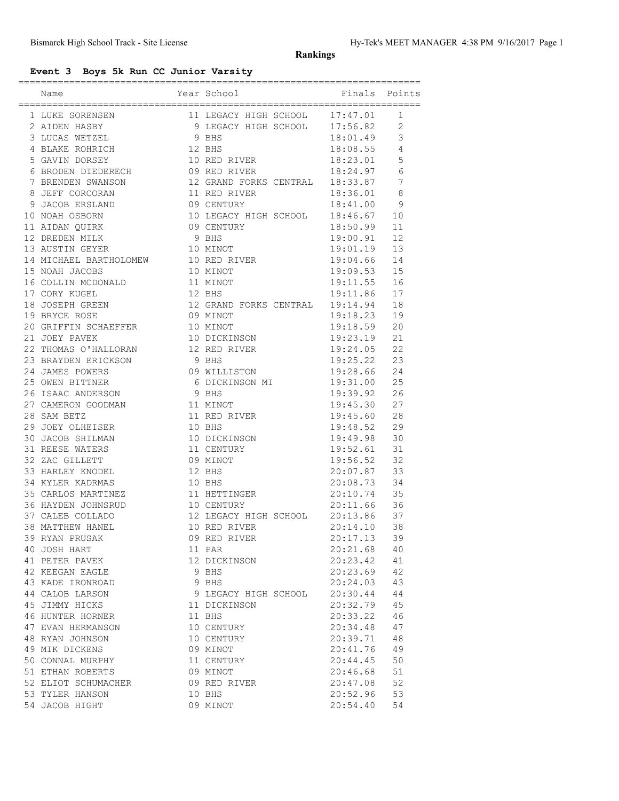**Rankings**

## **Event 3 Boys 5k Run CC Junior Varsity**

| Name                                                                                                                                                                                                                                                                                                  |        | Year School                                                                             | ==========================<br>Finals Points |                |
|-------------------------------------------------------------------------------------------------------------------------------------------------------------------------------------------------------------------------------------------------------------------------------------------------------|--------|-----------------------------------------------------------------------------------------|---------------------------------------------|----------------|
|                                                                                                                                                                                                                                                                                                       |        |                                                                                         |                                             |                |
| $\begin{tabular}{lllllllllllllllllllll} \hline 1 & LUKE & SORENSEN & & & & 11 & LEGACY HIGH & SCHOOL & 17:47.01 \\ 2 & AIDEN HASBY & & & 9 & LEGACY HIGH & SCHOOL & 17:56.82 \\ 3 & LUCAS & WETZEL & & & 9 & BHS & 18:01.49 \\ 4 & BLAKE & ROHRICH & & & 12 & BHS & 18:08.55 \\ \hline \end{tabular}$ |        |                                                                                         |                                             | 1              |
|                                                                                                                                                                                                                                                                                                       |        |                                                                                         |                                             | $\overline{2}$ |
|                                                                                                                                                                                                                                                                                                       |        |                                                                                         | 18:01.49                                    | 3              |
| 4 BLAKE ROHRICH                                                                                                                                                                                                                                                                                       |        |                                                                                         | 18:08.55                                    | 4              |
| 5 GAVIN DORSEY                                                                                                                                                                                                                                                                                        |        | 10 RED RIVER 18:23.01                                                                   |                                             | 5              |
| 6 BRODEN DIEDERECH 09 RED RIVER 18:24.97                                                                                                                                                                                                                                                              |        |                                                                                         |                                             | 6              |
| 7 BRENDEN SWANSON 12 GRAND FORKS CENTRAL 18:33.87                                                                                                                                                                                                                                                     |        |                                                                                         |                                             | $\overline{7}$ |
| 8 JEFF CORCORAN                                                                                                                                                                                                                                                                                       |        | 11 RED RIVER 18:36.01<br>09 CENTURY 18:41.00                                            |                                             | 8              |
| 9 JACOB ERSLAND                                                                                                                                                                                                                                                                                       |        |                                                                                         |                                             | 9              |
| 10 NOAH OSBORN                                                                                                                                                                                                                                                                                        |        | 10 LEGACY HIGH SCHOOL 18:46.67                                                          |                                             | 10             |
| 11 AIDAN QUIRK 09 CENTURY                                                                                                                                                                                                                                                                             |        |                                                                                         | 18:50.99                                    | 11             |
| 12 DREDEN MILK                                                                                                                                                                                                                                                                                        | 9 BHS  |                                                                                         | 19:00.91                                    | 12             |
| 13 AUSTIN GEYER 10 MINOT<br>14 MICHAEL BARTHOLOMEW 10 RED RIVER<br>15 NOAH JACOBS 10 MINOT                                                                                                                                                                                                            |        |                                                                                         | $19:01.19$<br>$19:04.66$<br>$19:09.53$      | 13             |
|                                                                                                                                                                                                                                                                                                       |        |                                                                                         |                                             | 14             |
| 15 NOAH JACOBS                                                                                                                                                                                                                                                                                        |        |                                                                                         |                                             | 15             |
| 16 COLLIN MCDONALD 11 MINOT                                                                                                                                                                                                                                                                           |        |                                                                                         | 19:11.55                                    | 16             |
| 17 CORY KUGEL                                                                                                                                                                                                                                                                                         | 12 BHS |                                                                                         | 19:11.86                                    | 17             |
| 18 JOSEPH GREEN 12 GRAND FORKS CENTRAL 19:14.94                                                                                                                                                                                                                                                       |        |                                                                                         |                                             | 18             |
| 19 BRYCE ROSE                                                                                                                                                                                                                                                                                         |        | 09 MINOT                                                                                | 19:18.23                                    | 19             |
| 20 GRIFFIN SCHAEFFER                                                                                                                                                                                                                                                                                  |        | 10 MINOT<br>10 DICKINSON                                                                | 19:18.59                                    | 20             |
| 21 JOEY PAVEK                                                                                                                                                                                                                                                                                         |        |                                                                                         | 19:23.19                                    | 21             |
| 22 THOMAS O'HALLORAN 12 RED RIVER                                                                                                                                                                                                                                                                     |        |                                                                                         | 19:24.05                                    | 22             |
| 23 BRAYDEN ERICKSON                                                                                                                                                                                                                                                                                   | 9 BHS  |                                                                                         | 19:25.22                                    | 23             |
| 24 JAMES POWERS                                                                                                                                                                                                                                                                                       |        |                                                                                         |                                             | 24             |
| 25 OWEN BITTNER                                                                                                                                                                                                                                                                                       |        |                                                                                         |                                             | 25             |
| 26 ISAAC ANDERSON                                                                                                                                                                                                                                                                                     |        | 09 WILLISTON 19:28.66<br>6 DICKINSON MI 19:31.00<br>9 BHS 19:39.92<br>11 MINOT 19:45.30 |                                             | 26             |
| 27 CAMERON GOODMAN                                                                                                                                                                                                                                                                                    |        |                                                                                         | 19:45.30                                    | 27             |
| 28 SAM BETZ                                                                                                                                                                                                                                                                                           |        | 11 RED RIVER                                                                            | 19:45.60                                    | 28             |
| 10 BHS<br>29 JOEY OLHEISER                                                                                                                                                                                                                                                                            |        |                                                                                         | 19:48.52                                    | 29             |
| 30 JACOB SHILMAN 10 DICKINSON 19:49.98                                                                                                                                                                                                                                                                |        |                                                                                         |                                             | 30             |
| 31 REESE WATERS                                                                                                                                                                                                                                                                                       |        | 11 CENTURY                                                                              | 19:52.61                                    | 31             |
| 32 ZAC GILLETT                                                                                                                                                                                                                                                                                        |        | 09 MINOT<br>12 BHS                                                                      | 19:56.52                                    | 32             |
| 33 HARLEY KNODEL                                                                                                                                                                                                                                                                                      | 12 BHS |                                                                                         | 20:07.87                                    | 33             |
| 34 KYLER KADRMAS                                                                                                                                                                                                                                                                                      |        | 10 BHS                                                                                  | 20:08.73                                    | 34             |
| 35 CARLOS MARTINEZ 11 HETTINGER 20:10.74                                                                                                                                                                                                                                                              |        |                                                                                         |                                             | 35             |
| 36 HAYDEN JOHNSRUD 10 CENTURY                                                                                                                                                                                                                                                                         |        |                                                                                         | 20:11.66                                    | 36             |
| 37 CALEB COLLADO 12 LEGACY HIGH SCHOOL 20:13.86<br>38 MATTHEW HANEL 10 RED RIVER 20:14.10                                                                                                                                                                                                             |        |                                                                                         |                                             | 37             |
|                                                                                                                                                                                                                                                                                                       |        |                                                                                         |                                             | 38             |
| 39 RYAN PRUSAK                                                                                                                                                                                                                                                                                        |        | 09 RED RIVER                                                                            | 20:17.13                                    | 39             |
| 40 JOSH HART                                                                                                                                                                                                                                                                                          |        | 11 PAR                                                                                  | 20:21.68                                    | 40             |
| 41 PETER PAVEK                                                                                                                                                                                                                                                                                        |        | 12 DICKINSON                                                                            | 20:23.42                                    | 41             |
| 42 KEEGAN EAGLE                                                                                                                                                                                                                                                                                       |        | 9 BHS                                                                                   | 20:23.69                                    | 42             |
| 43 KADE IRONROAD                                                                                                                                                                                                                                                                                      |        | 9 BHS                                                                                   | 20:24.03                                    | 43             |
| 44 CALOB LARSON                                                                                                                                                                                                                                                                                       |        | 9 LEGACY HIGH SCHOOL                                                                    | 20:30.44                                    | 44             |
| 45 JIMMY HICKS                                                                                                                                                                                                                                                                                        |        | 11 DICKINSON                                                                            | 20:32.79                                    | 45             |
| 46 HUNTER HORNER                                                                                                                                                                                                                                                                                      |        | 11 BHS                                                                                  | 20:33.22                                    | 46             |
| 47 EVAN HERMANSON                                                                                                                                                                                                                                                                                     |        | 10 CENTURY                                                                              | 20:34.48                                    | 47             |
| 48 RYAN JOHNSON                                                                                                                                                                                                                                                                                       |        | 10 CENTURY                                                                              | 20:39.71                                    | 48             |
| 49 MIK DICKENS                                                                                                                                                                                                                                                                                        |        | 09 MINOT                                                                                | 20:41.76                                    | 49             |
| 50 CONNAL MURPHY                                                                                                                                                                                                                                                                                      |        | 11 CENTURY                                                                              | 20:44.45                                    | 50             |
| 51 ETHAN ROBERTS                                                                                                                                                                                                                                                                                      |        | 09 MINOT                                                                                | 20:46.68                                    | 51             |
| 52 ELIOT SCHUMACHER                                                                                                                                                                                                                                                                                   |        | 09 RED RIVER                                                                            | 20:47.08                                    | 52             |
| 53 TYLER HANSON                                                                                                                                                                                                                                                                                       |        | 10 BHS                                                                                  | 20:52.96                                    | 53             |
| 54 JACOB HIGHT                                                                                                                                                                                                                                                                                        |        | 09 MINOT                                                                                | 20:54.40                                    | 54             |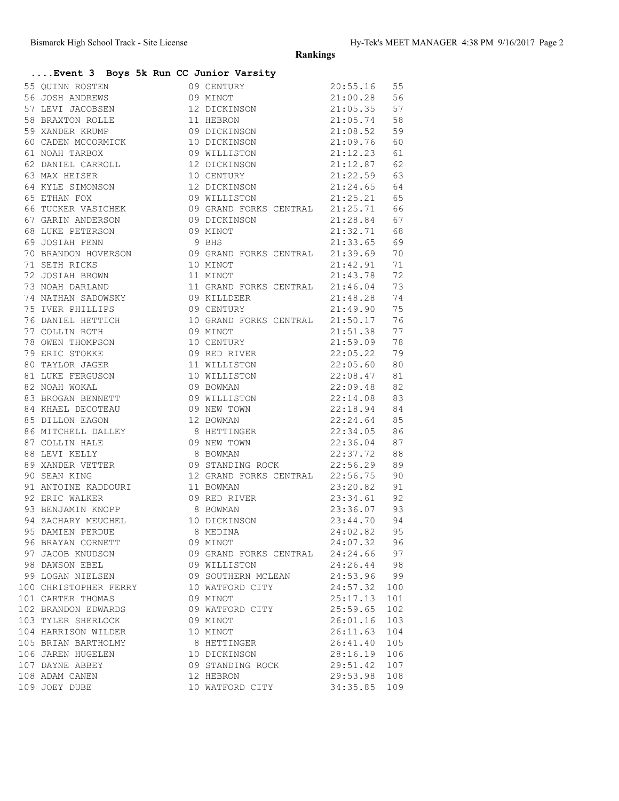**Rankings**

## **....Event 3 Boys 5k Run CC Junior Varsity**

| 55 QUINN ROSTEN<br>56 JOSH ANDREWS<br>57 LEVI JACOBSEN<br>57 LEVI JACOBSEN<br>57 LEVI JACOBSEN<br>57 LEVI JACOBSEN<br>57 LEVI JACOBSEN<br>12 DICKINSON<br>21:05.35 57<br>57 S8 BRAXTON ROLLE<br>59 XANDER KRUMP<br>59 XANDER KRUMP<br>60 CADEN MCCORMI   |                                 |          |     |
|----------------------------------------------------------------------------------------------------------------------------------------------------------------------------------------------------------------------------------------------------------|---------------------------------|----------|-----|
|                                                                                                                                                                                                                                                          |                                 |          |     |
|                                                                                                                                                                                                                                                          |                                 |          |     |
|                                                                                                                                                                                                                                                          |                                 |          |     |
|                                                                                                                                                                                                                                                          |                                 |          |     |
|                                                                                                                                                                                                                                                          |                                 |          |     |
|                                                                                                                                                                                                                                                          |                                 |          |     |
|                                                                                                                                                                                                                                                          |                                 |          |     |
|                                                                                                                                                                                                                                                          |                                 |          |     |
|                                                                                                                                                                                                                                                          |                                 |          | 64  |
|                                                                                                                                                                                                                                                          |                                 |          | 65  |
|                                                                                                                                                                                                                                                          |                                 |          | 66  |
|                                                                                                                                                                                                                                                          |                                 |          | 67  |
|                                                                                                                                                                                                                                                          |                                 |          | 68  |
| 64 KYLE SIMONSON<br>65 ETHAN FOX<br>65 ETHAN FOX<br>66 TUCKER VASICHEK<br>66 TUCKER VASICHEK<br>67 GARIN ANDERSON<br>68 LUKE PETERSON<br>68 LUKE PETERSON<br>69 JOSIAH PENN<br>89 JOSIAH PENN<br>89 JOSIAH PENN<br>89 BHS<br>80 CRAND FORKS CENTRAL<br>2 |                                 |          | 69  |
| 70 BRANDON HOVERSON 09 GRAND FORKS CENTRAL 21:39.69                                                                                                                                                                                                      |                                 |          | 70  |
| 71 SETH RICKS<br>72 JOSIAH BROWN<br>73 NOAH DARLAND<br>73 NOAH DARLAND<br>74 NATHAN SADOWSKY<br>75 IVER PHILLIPS<br>75 TVER PHILLIPS<br>74 NATHAN SADOWSKY<br>76 21:42.91<br>74 NATHAN SADOWSKY<br>76 21:48.28<br>76 21:48.28<br>76 21:49.90             |                                 |          | 71  |
|                                                                                                                                                                                                                                                          |                                 |          | 72  |
|                                                                                                                                                                                                                                                          |                                 |          | 73  |
|                                                                                                                                                                                                                                                          |                                 |          | 74  |
|                                                                                                                                                                                                                                                          |                                 |          | 75  |
|                                                                                                                                                                                                                                                          |                                 |          | 76  |
| 76 DANIEL HETTICH 10 GRAND FORKS CENTRAL 21:50.17<br>77 COLLIN ROTH 09 MINOT 21:51.38                                                                                                                                                                    |                                 |          |     |
|                                                                                                                                                                                                                                                          |                                 |          |     |
|                                                                                                                                                                                                                                                          |                                 |          |     |
|                                                                                                                                                                                                                                                          |                                 |          |     |
| 81 LUKE FERGUSON 10 WILLISTON 22:08.47                                                                                                                                                                                                                   |                                 |          | 81  |
|                                                                                                                                                                                                                                                          |                                 |          |     |
|                                                                                                                                                                                                                                                          |                                 |          |     |
|                                                                                                                                                                                                                                                          |                                 |          |     |
|                                                                                                                                                                                                                                                          |                                 |          |     |
|                                                                                                                                                                                                                                                          |                                 |          |     |
| 81 LUKE FERGUSON<br>82 NOAH WOKAL<br>82 NOAH WOKAL<br>83 BROGAN BENNETT<br>83 BROGAN BENNETT<br>84 KHAEL DECOTEAU<br>83 BROGAN BENNETT<br>84 KHAEL DECOTEAU<br>83 NEURON<br>83 NOAH 22:18.94 84<br>83 DILLON EAGON<br>12 BOWMAN<br>22:18.94 84<br>22:18. |                                 |          |     |
|                                                                                                                                                                                                                                                          |                                 |          |     |
|                                                                                                                                                                                                                                                          |                                 |          |     |
|                                                                                                                                                                                                                                                          |                                 |          |     |
|                                                                                                                                                                                                                                                          |                                 |          | 91  |
| 90 SEAN KING<br>90 SEAN KING<br>91 ANTOINE KADDOURI<br>92 ERIC WALKER<br>93 BENJAMIN KNOPP<br>93 BENJAMIN KNOPP<br>94 ZACHARY MEUCHEL<br>95 DAMIEN PERDUE<br>95 DAMIEN PERDUE<br>8 MEDINA<br>95 DAMIEN PERDUE<br>95 DAMIEN PERDUE<br>96 MEDINA<br>96 MED |                                 |          | 92  |
|                                                                                                                                                                                                                                                          |                                 |          | 93  |
|                                                                                                                                                                                                                                                          |                                 |          | 94  |
|                                                                                                                                                                                                                                                          |                                 |          | 95  |
| 96 BRAYAN CORNETT                                                                                                                                                                                                                                        | 09 MINOT                        | 24:07.32 | 96  |
| 97 JACOB KNUDSON                                                                                                                                                                                                                                         | 09 GRAND FORKS CENTRAL 24:24.66 |          | 97  |
| 98 DAWSON EBEL                                                                                                                                                                                                                                           | 09 WILLISTON                    | 24:26.44 | 98  |
| 99 LOGAN NIELSEN                                                                                                                                                                                                                                         | 09 SOUTHERN MCLEAN              | 24:53.96 | 99  |
| 100 CHRISTOPHER FERRY                                                                                                                                                                                                                                    | 10 WATFORD CITY                 | 24:57.32 | 100 |
| 101 CARTER THOMAS                                                                                                                                                                                                                                        | 09 MINOT                        | 25:17.13 | 101 |
| 102 BRANDON EDWARDS                                                                                                                                                                                                                                      | 09 WATFORD CITY                 | 25:59.65 | 102 |
| 103 TYLER SHERLOCK                                                                                                                                                                                                                                       | 09 MINOT                        | 26:01.16 | 103 |
| 104 HARRISON WILDER                                                                                                                                                                                                                                      | 10 MINOT                        | 26:11.63 | 104 |
| 105 BRIAN BARTHOLMY                                                                                                                                                                                                                                      | 8 HETTINGER                     | 26:41.40 | 105 |
| 106 JAREN HUGELEN                                                                                                                                                                                                                                        | 10 DICKINSON                    | 28:16.19 | 106 |
| 107 DAYNE ABBEY                                                                                                                                                                                                                                          | 09 STANDING ROCK                | 29:51.42 | 107 |
| 108 ADAM CANEN                                                                                                                                                                                                                                           | 12 HEBRON                       | 29:53.98 | 108 |
| 109 JOEY DUBE                                                                                                                                                                                                                                            | 10 WATFORD CITY                 | 34:35.85 | 109 |
|                                                                                                                                                                                                                                                          |                                 |          |     |